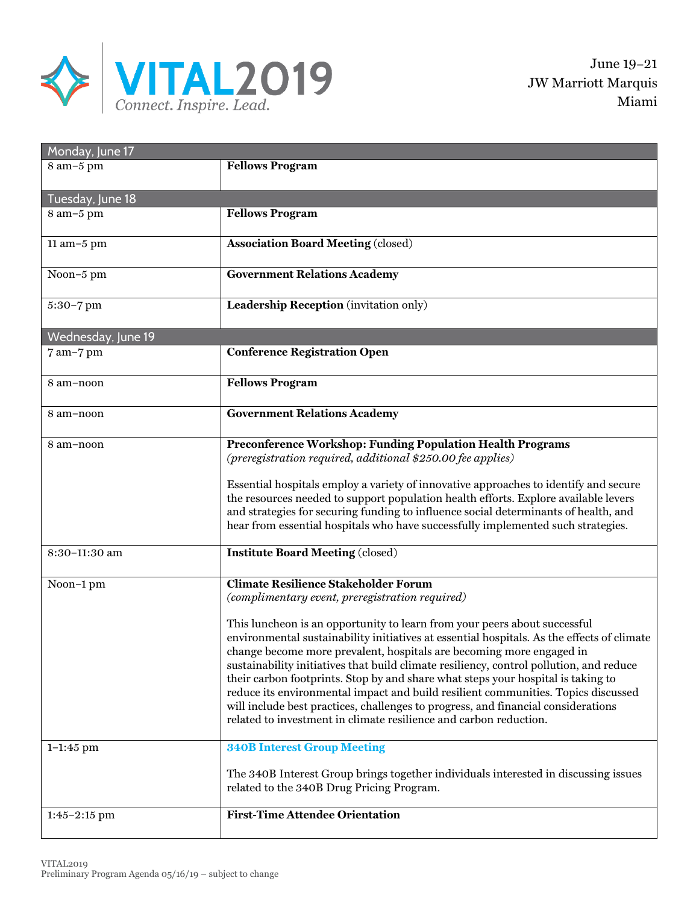

| Monday, June 17            |                                                                                                                                                                                                                                                                                                                                                                                                                                                                                                                                                                                                                                                                                                                                                                                                                                                                                                              |  |
|----------------------------|--------------------------------------------------------------------------------------------------------------------------------------------------------------------------------------------------------------------------------------------------------------------------------------------------------------------------------------------------------------------------------------------------------------------------------------------------------------------------------------------------------------------------------------------------------------------------------------------------------------------------------------------------------------------------------------------------------------------------------------------------------------------------------------------------------------------------------------------------------------------------------------------------------------|--|
| 8 am-5 pm                  | <b>Fellows Program</b>                                                                                                                                                                                                                                                                                                                                                                                                                                                                                                                                                                                                                                                                                                                                                                                                                                                                                       |  |
| Tuesday, June 18           |                                                                                                                                                                                                                                                                                                                                                                                                                                                                                                                                                                                                                                                                                                                                                                                                                                                                                                              |  |
| 8 am-5 pm                  | <b>Fellows Program</b>                                                                                                                                                                                                                                                                                                                                                                                                                                                                                                                                                                                                                                                                                                                                                                                                                                                                                       |  |
| 11 am-5 pm                 | <b>Association Board Meeting (closed)</b>                                                                                                                                                                                                                                                                                                                                                                                                                                                                                                                                                                                                                                                                                                                                                                                                                                                                    |  |
| Noon-5 pm                  | <b>Government Relations Academy</b>                                                                                                                                                                                                                                                                                                                                                                                                                                                                                                                                                                                                                                                                                                                                                                                                                                                                          |  |
| 5:30-7 pm                  | Leadership Reception (invitation only)                                                                                                                                                                                                                                                                                                                                                                                                                                                                                                                                                                                                                                                                                                                                                                                                                                                                       |  |
| Wednesday, June 19         |                                                                                                                                                                                                                                                                                                                                                                                                                                                                                                                                                                                                                                                                                                                                                                                                                                                                                                              |  |
| 7 am-7 pm                  | <b>Conference Registration Open</b>                                                                                                                                                                                                                                                                                                                                                                                                                                                                                                                                                                                                                                                                                                                                                                                                                                                                          |  |
| 8 am-noon                  | <b>Fellows Program</b>                                                                                                                                                                                                                                                                                                                                                                                                                                                                                                                                                                                                                                                                                                                                                                                                                                                                                       |  |
| 8 am-noon                  | <b>Government Relations Academy</b>                                                                                                                                                                                                                                                                                                                                                                                                                                                                                                                                                                                                                                                                                                                                                                                                                                                                          |  |
| 8 am-noon                  | Preconference Workshop: Funding Population Health Programs<br>(preregistration required, additional \$250.00 fee applies)<br>Essential hospitals employ a variety of innovative approaches to identify and secure<br>the resources needed to support population health efforts. Explore available levers<br>and strategies for securing funding to influence social determinants of health, and<br>hear from essential hospitals who have successfully implemented such strategies.                                                                                                                                                                                                                                                                                                                                                                                                                          |  |
| 8:30-11:30 am              | <b>Institute Board Meeting (closed)</b>                                                                                                                                                                                                                                                                                                                                                                                                                                                                                                                                                                                                                                                                                                                                                                                                                                                                      |  |
| Noon-1 pm<br>$1 - 1:45$ pm | <b>Climate Resilience Stakeholder Forum</b><br>(complimentary event, preregistration required)<br>This luncheon is an opportunity to learn from your peers about successful<br>environmental sustainability initiatives at essential hospitals. As the effects of climate<br>change become more prevalent, hospitals are becoming more engaged in<br>sustainability initiatives that build climate resiliency, control pollution, and reduce<br>their carbon footprints. Stop by and share what steps your hospital is taking to<br>reduce its environmental impact and build resilient communities. Topics discussed<br>will include best practices, challenges to progress, and financial considerations<br>related to investment in climate resilience and carbon reduction.<br><b>340B Interest Group Meeting</b><br>The 340B Interest Group brings together individuals interested in discussing issues |  |
|                            | related to the 340B Drug Pricing Program.                                                                                                                                                                                                                                                                                                                                                                                                                                                                                                                                                                                                                                                                                                                                                                                                                                                                    |  |
| $1:45-2:15$ pm             | <b>First-Time Attendee Orientation</b>                                                                                                                                                                                                                                                                                                                                                                                                                                                                                                                                                                                                                                                                                                                                                                                                                                                                       |  |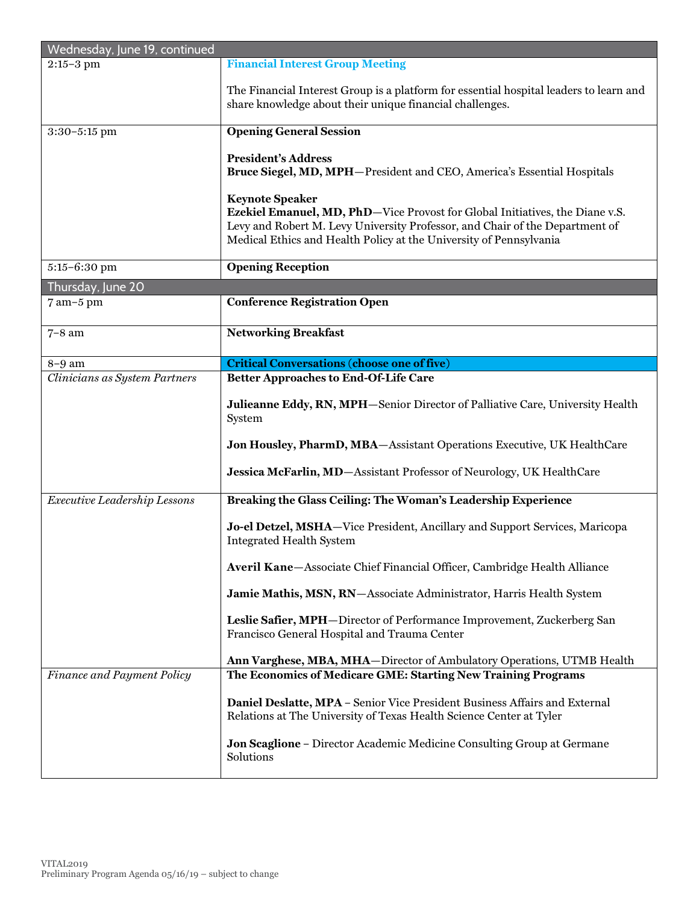| Wednesday, June 19, continued |                                                                                                                                                                                                                                                                      |
|-------------------------------|----------------------------------------------------------------------------------------------------------------------------------------------------------------------------------------------------------------------------------------------------------------------|
| $2:15 - 3$ pm                 | <b>Financial Interest Group Meeting</b>                                                                                                                                                                                                                              |
|                               | The Financial Interest Group is a platform for essential hospital leaders to learn and<br>share knowledge about their unique financial challenges.                                                                                                                   |
| 3:30-5:15 pm                  | <b>Opening General Session</b>                                                                                                                                                                                                                                       |
|                               | <b>President's Address</b><br>Bruce Siegel, MD, MPH-President and CEO, America's Essential Hospitals                                                                                                                                                                 |
|                               | <b>Keynote Speaker</b><br><b>Ezekiel Emanuel, MD, PhD</b> -Vice Provost for Global Initiatives, the Diane v.S.<br>Levy and Robert M. Levy University Professor, and Chair of the Department of<br>Medical Ethics and Health Policy at the University of Pennsylvania |
| 5:15-6:30 pm                  | <b>Opening Reception</b>                                                                                                                                                                                                                                             |
| Thursday, June 20             |                                                                                                                                                                                                                                                                      |
| 7 am-5 pm                     | <b>Conference Registration Open</b>                                                                                                                                                                                                                                  |
| $7-8$ am                      | <b>Networking Breakfast</b>                                                                                                                                                                                                                                          |
| $8-9$ am                      | <b>Critical Conversations (choose one of five)</b>                                                                                                                                                                                                                   |
| Clinicians as System Partners | <b>Better Approaches to End-Of-Life Care</b>                                                                                                                                                                                                                         |
|                               | Julieanne Eddy, RN, MPH-Senior Director of Palliative Care, University Health<br>System                                                                                                                                                                              |
|                               | Jon Housley, PharmD, MBA-Assistant Operations Executive, UK HealthCare                                                                                                                                                                                               |
|                               | Jessica McFarlin, MD-Assistant Professor of Neurology, UK HealthCare                                                                                                                                                                                                 |
| Executive Leadership Lessons  | Breaking the Glass Ceiling: The Woman's Leadership Experience                                                                                                                                                                                                        |
|                               | Jo-el Detzel, MSHA-Vice President, Ancillary and Support Services, Maricopa<br><b>Integrated Health System</b>                                                                                                                                                       |
|                               | Averil Kane-Associate Chief Financial Officer, Cambridge Health Alliance                                                                                                                                                                                             |
|                               | Jamie Mathis, MSN, RN-Associate Administrator, Harris Health System                                                                                                                                                                                                  |
|                               | Leslie Safier, MPH-Director of Performance Improvement, Zuckerberg San<br>Francisco General Hospital and Trauma Center                                                                                                                                               |
|                               | Ann Varghese, MBA, MHA-Director of Ambulatory Operations, UTMB Health                                                                                                                                                                                                |
| Finance and Payment Policy    | The Economics of Medicare GME: Starting New Training Programs                                                                                                                                                                                                        |
|                               | Daniel Deslatte, MPA - Senior Vice President Business Affairs and External<br>Relations at The University of Texas Health Science Center at Tyler                                                                                                                    |
|                               | <b>Jon Scaglione - Director Academic Medicine Consulting Group at Germane</b><br>Solutions                                                                                                                                                                           |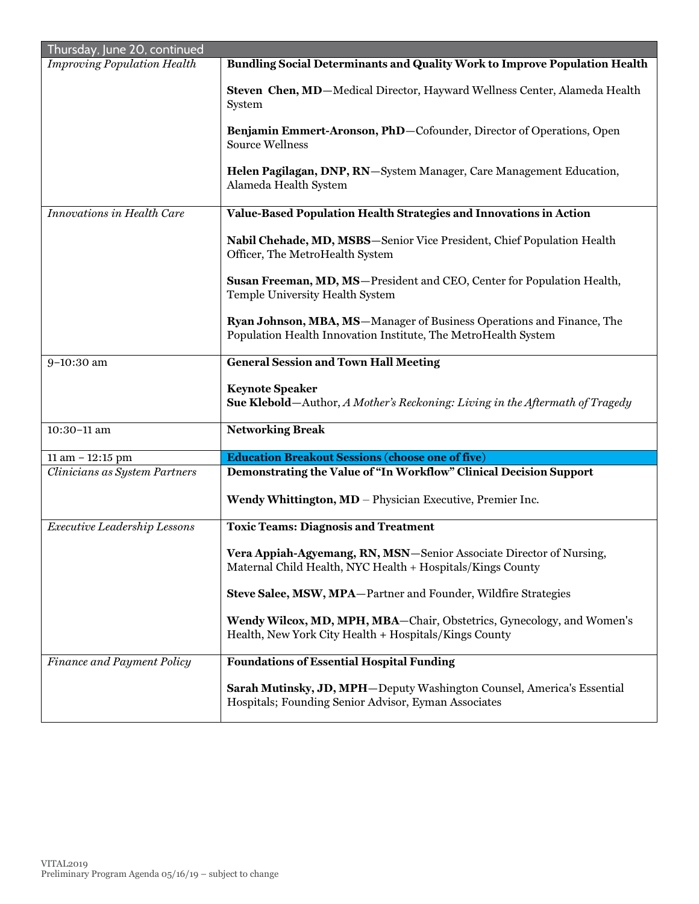| Thursday, June 20, continued       |                                                                                                                                         |
|------------------------------------|-----------------------------------------------------------------------------------------------------------------------------------------|
| <b>Improving Population Health</b> | <b>Bundling Social Determinants and Quality Work to Improve Population Health</b>                                                       |
|                                    | Steven Chen, MD-Medical Director, Hayward Wellness Center, Alameda Health<br>System                                                     |
|                                    | Benjamin Emmert-Aronson, PhD-Cofounder, Director of Operations, Open<br><b>Source Wellness</b>                                          |
|                                    | Helen Pagilagan, DNP, RN-System Manager, Care Management Education,<br>Alameda Health System                                            |
| Innovations in Health Care         | Value-Based Population Health Strategies and Innovations in Action                                                                      |
|                                    | Nabil Chehade, MD, MSBS-Senior Vice President, Chief Population Health<br>Officer, The MetroHealth System                               |
|                                    | Susan Freeman, MD, MS-President and CEO, Center for Population Health,<br>Temple University Health System                               |
|                                    | Ryan Johnson, MBA, MS-Manager of Business Operations and Finance, The<br>Population Health Innovation Institute, The MetroHealth System |
| 9-10:30 am                         | <b>General Session and Town Hall Meeting</b>                                                                                            |
|                                    | <b>Keynote Speaker</b><br><b>Sue Klebold</b> —Author, A Mother's Reckoning: Living in the Aftermath of Tragedy                          |
| 10:30-11 am                        | <b>Networking Break</b>                                                                                                                 |
| 11 am $-12:15$ pm                  | <b>Education Breakout Sessions (choose one of five)</b>                                                                                 |
| Clinicians as System Partners      | Demonstrating the Value of "In Workflow" Clinical Decision Support                                                                      |
|                                    | Wendy Whittington, MD - Physician Executive, Premier Inc.                                                                               |
| Executive Leadership Lessons       | <b>Toxic Teams: Diagnosis and Treatment</b>                                                                                             |
|                                    | Vera Appiah-Agyemang, RN, MSN-Senior Associate Director of Nursing,<br>Maternal Child Health, NYC Health + Hospitals/Kings County       |
|                                    | Steve Salee, MSW, MPA-Partner and Founder, Wildfire Strategies                                                                          |
|                                    | Wendy Wilcox, MD, MPH, MBA-Chair, Obstetrics, Gynecology, and Women's<br>Health, New York City Health + Hospitals/Kings County          |
| Finance and Payment Policy         | <b>Foundations of Essential Hospital Funding</b>                                                                                        |
|                                    | Sarah Mutinsky, JD, MPH-Deputy Washington Counsel, America's Essential<br>Hospitals; Founding Senior Advisor, Eyman Associates          |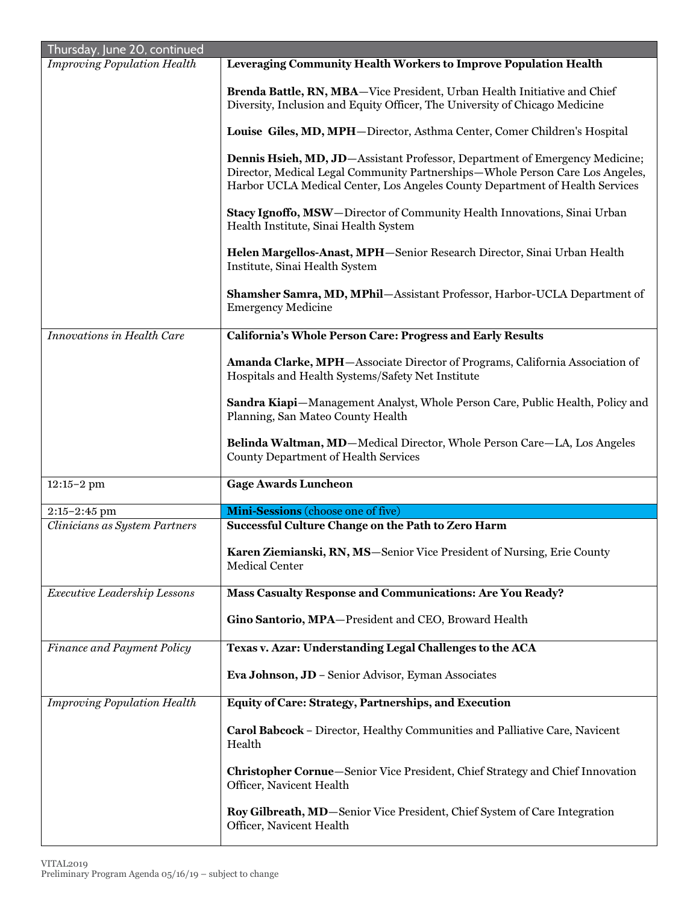| Thursday, June 20, continued                    |                                                                                                                                                                                                                                              |
|-------------------------------------------------|----------------------------------------------------------------------------------------------------------------------------------------------------------------------------------------------------------------------------------------------|
| <b>Improving Population Health</b>              | Leveraging Community Health Workers to Improve Population Health                                                                                                                                                                             |
|                                                 | Brenda Battle, RN, MBA-Vice President, Urban Health Initiative and Chief<br>Diversity, Inclusion and Equity Officer, The University of Chicago Medicine                                                                                      |
|                                                 | Louise Giles, MD, MPH-Director, Asthma Center, Comer Children's Hospital                                                                                                                                                                     |
|                                                 | Dennis Hsieh, MD, JD-Assistant Professor, Department of Emergency Medicine;<br>Director, Medical Legal Community Partnerships-Whole Person Care Los Angeles,<br>Harbor UCLA Medical Center, Los Angeles County Department of Health Services |
|                                                 | Stacy Ignoffo, MSW-Director of Community Health Innovations, Sinai Urban<br>Health Institute, Sinai Health System                                                                                                                            |
|                                                 | Helen Margellos-Anast, MPH-Senior Research Director, Sinai Urban Health<br>Institute, Sinai Health System                                                                                                                                    |
|                                                 | Shamsher Samra, MD, MPhil-Assistant Professor, Harbor-UCLA Department of<br><b>Emergency Medicine</b>                                                                                                                                        |
| <b>Innovations in Health Care</b>               | California's Whole Person Care: Progress and Early Results                                                                                                                                                                                   |
|                                                 | Amanda Clarke, MPH-Associate Director of Programs, California Association of<br>Hospitals and Health Systems/Safety Net Institute                                                                                                            |
|                                                 | Sandra Kiapi-Management Analyst, Whole Person Care, Public Health, Policy and<br>Planning, San Mateo County Health                                                                                                                           |
|                                                 | Belinda Waltman, MD-Medical Director, Whole Person Care-LA, Los Angeles                                                                                                                                                                      |
|                                                 | <b>County Department of Health Services</b>                                                                                                                                                                                                  |
| $12:15 - 2$ pm                                  | <b>Gage Awards Luncheon</b>                                                                                                                                                                                                                  |
|                                                 |                                                                                                                                                                                                                                              |
| $2:15-2:45$ pm<br>Clinicians as System Partners | Mini-Sessions (choose one of five)<br>Successful Culture Change on the Path to Zero Harm                                                                                                                                                     |
|                                                 | Karen Ziemianski, RN, MS-Senior Vice President of Nursing, Erie County<br>Medical Center                                                                                                                                                     |
| Executive Leadership Lessons                    | Mass Casualty Response and Communications: Are You Ready?                                                                                                                                                                                    |
|                                                 | Gino Santorio, MPA-President and CEO, Broward Health                                                                                                                                                                                         |
| Finance and Payment Policy                      | Texas v. Azar: Understanding Legal Challenges to the ACA                                                                                                                                                                                     |
|                                                 | Eva Johnson, JD - Senior Advisor, Eyman Associates                                                                                                                                                                                           |
| <b>Improving Population Health</b>              | Equity of Care: Strategy, Partnerships, and Execution                                                                                                                                                                                        |
|                                                 | Carol Babcock - Director, Healthy Communities and Palliative Care, Navicent<br>Health                                                                                                                                                        |
|                                                 | <b>Christopher Cornue</b> —Senior Vice President, Chief Strategy and Chief Innovation<br>Officer, Navicent Health                                                                                                                            |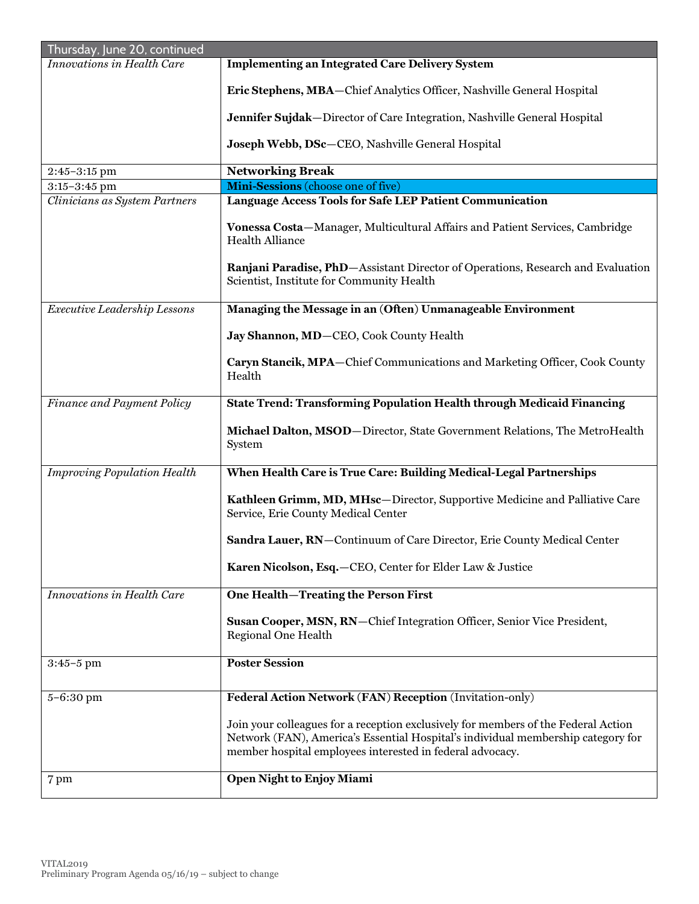| Thursday, June 20, continued       |                                                                                                                                                                                                                                     |  |
|------------------------------------|-------------------------------------------------------------------------------------------------------------------------------------------------------------------------------------------------------------------------------------|--|
| Innovations in Health Care         | <b>Implementing an Integrated Care Delivery System</b>                                                                                                                                                                              |  |
|                                    | Eric Stephens, MBA-Chief Analytics Officer, Nashville General Hospital                                                                                                                                                              |  |
|                                    | Jennifer Sujdak-Director of Care Integration, Nashville General Hospital                                                                                                                                                            |  |
|                                    | Joseph Webb, DSc-CEO, Nashville General Hospital                                                                                                                                                                                    |  |
| $2:45-3:15$ pm                     | <b>Networking Break</b>                                                                                                                                                                                                             |  |
| $3:15-3:45$ pm                     | Mini-Sessions (choose one of five)                                                                                                                                                                                                  |  |
| Clinicians as System Partners      | Language Access Tools for Safe LEP Patient Communication                                                                                                                                                                            |  |
|                                    | Vonessa Costa-Manager, Multicultural Affairs and Patient Services, Cambridge<br><b>Health Alliance</b>                                                                                                                              |  |
|                                    | Ranjani Paradise, PhD-Assistant Director of Operations, Research and Evaluation<br>Scientist, Institute for Community Health                                                                                                        |  |
| Executive Leadership Lessons       | Managing the Message in an (Often) Unmanageable Environment                                                                                                                                                                         |  |
|                                    | Jay Shannon, MD-CEO, Cook County Health                                                                                                                                                                                             |  |
|                                    | Caryn Stancik, MPA-Chief Communications and Marketing Officer, Cook County<br>Health                                                                                                                                                |  |
| Finance and Payment Policy         | State Trend: Transforming Population Health through Medicaid Financing                                                                                                                                                              |  |
|                                    | Michael Dalton, MSOD-Director, State Government Relations, The MetroHealth<br>System                                                                                                                                                |  |
| <b>Improving Population Health</b> | When Health Care is True Care: Building Medical-Legal Partnerships                                                                                                                                                                  |  |
|                                    | Kathleen Grimm, MD, MHsc-Director, Supportive Medicine and Palliative Care<br>Service, Erie County Medical Center                                                                                                                   |  |
|                                    | Sandra Lauer, RN-Continuum of Care Director, Erie County Medical Center                                                                                                                                                             |  |
|                                    | Karen Nicolson, Esq. - CEO, Center for Elder Law & Justice                                                                                                                                                                          |  |
| Innovations in Health Care         | One Health-Treating the Person First                                                                                                                                                                                                |  |
|                                    | Susan Cooper, MSN, RN-Chief Integration Officer, Senior Vice President,<br>Regional One Health                                                                                                                                      |  |
| $3:45-5$ pm                        | <b>Poster Session</b>                                                                                                                                                                                                               |  |
| 5-6:30 pm                          | Federal Action Network (FAN) Reception (Invitation-only)                                                                                                                                                                            |  |
|                                    | Join your colleagues for a reception exclusively for members of the Federal Action<br>Network (FAN), America's Essential Hospital's individual membership category for<br>member hospital employees interested in federal advocacy. |  |
| 7 pm                               | Open Night to Enjoy Miami                                                                                                                                                                                                           |  |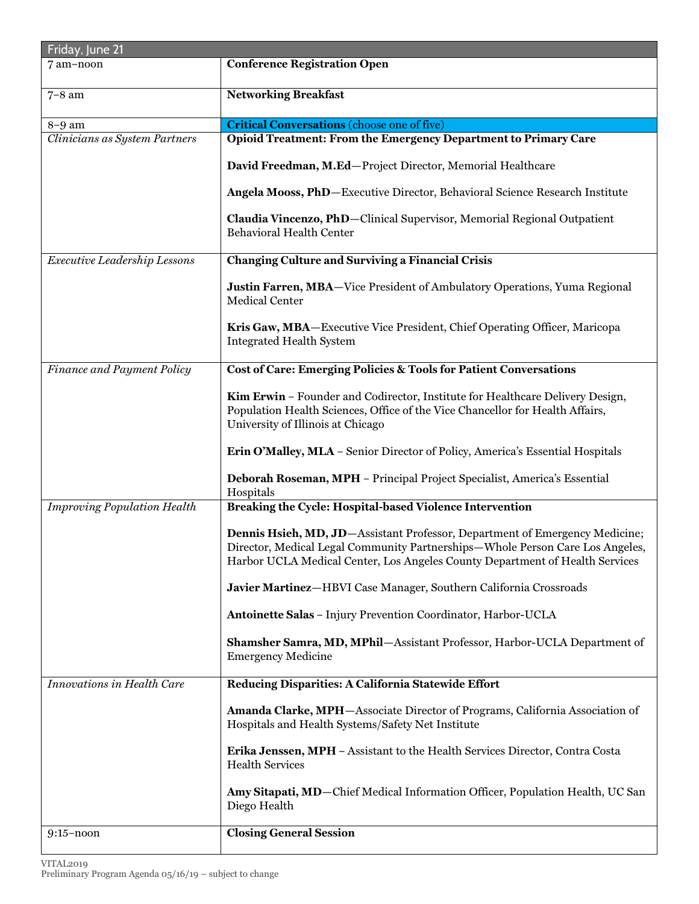| Friday, June 21                    |                                                                                                                                                                                                                                              |
|------------------------------------|----------------------------------------------------------------------------------------------------------------------------------------------------------------------------------------------------------------------------------------------|
| 7 am-noon                          | <b>Conference Registration Open</b>                                                                                                                                                                                                          |
| $7-8$ am                           | <b>Networking Breakfast</b>                                                                                                                                                                                                                  |
| 8-9 am                             | <b>Critical Conversations</b> (choose one of five)                                                                                                                                                                                           |
| Clinicians as System Partners      | Opioid Treatment: From the Emergency Department to Primary Care                                                                                                                                                                              |
|                                    | David Freedman, M.Ed-Project Director, Memorial Healthcare                                                                                                                                                                                   |
|                                    | Angela Mooss, PhD-Executive Director, Behavioral Science Research Institute                                                                                                                                                                  |
|                                    | Claudia Vincenzo, PhD-Clinical Supervisor, Memorial Regional Outpatient<br><b>Behavioral Health Center</b>                                                                                                                                   |
| Executive Leadership Lessons       | <b>Changing Culture and Surviving a Financial Crisis</b>                                                                                                                                                                                     |
|                                    | Justin Farren, MBA-Vice President of Ambulatory Operations, Yuma Regional<br><b>Medical Center</b>                                                                                                                                           |
|                                    | Kris Gaw, MBA-Executive Vice President, Chief Operating Officer, Maricopa<br><b>Integrated Health System</b>                                                                                                                                 |
| Finance and Payment Policy         | Cost of Care: Emerging Policies & Tools for Patient Conversations                                                                                                                                                                            |
|                                    | Kim Erwin - Founder and Codirector, Institute for Healthcare Delivery Design,<br>Population Health Sciences, Office of the Vice Chancellor for Health Affairs,<br>University of Illinois at Chicago                                          |
|                                    | Erin O'Malley, MLA - Senior Director of Policy, America's Essential Hospitals                                                                                                                                                                |
|                                    | Deborah Roseman, MPH - Principal Project Specialist, America's Essential<br>Hospitals                                                                                                                                                        |
| <b>Improving Population Health</b> | Breaking the Cycle: Hospital-based Violence Intervention                                                                                                                                                                                     |
|                                    | Dennis Hsieh, MD, JD-Assistant Professor, Department of Emergency Medicine;<br>Director, Medical Legal Community Partnerships-Whole Person Care Los Angeles,<br>Harbor UCLA Medical Center, Los Angeles County Department of Health Services |
|                                    | Javier Martinez-HBVI Case Manager, Southern California Crossroads                                                                                                                                                                            |
|                                    | Antoinette Salas - Injury Prevention Coordinator, Harbor-UCLA                                                                                                                                                                                |
|                                    | Shamsher Samra, MD, MPhil-Assistant Professor, Harbor-UCLA Department of<br><b>Emergency Medicine</b>                                                                                                                                        |
| Innovations in Health Care         | Reducing Disparities: A California Statewide Effort                                                                                                                                                                                          |
|                                    | Amanda Clarke, MPH-Associate Director of Programs, California Association of<br>Hospitals and Health Systems/Safety Net Institute                                                                                                            |
|                                    | Erika Jenssen, MPH - Assistant to the Health Services Director, Contra Costa<br><b>Health Services</b>                                                                                                                                       |
|                                    | Amy Sitapati, MD-Chief Medical Information Officer, Population Health, UC San<br>Diego Health                                                                                                                                                |
| $9:15$ -noon                       | <b>Closing General Session</b>                                                                                                                                                                                                               |